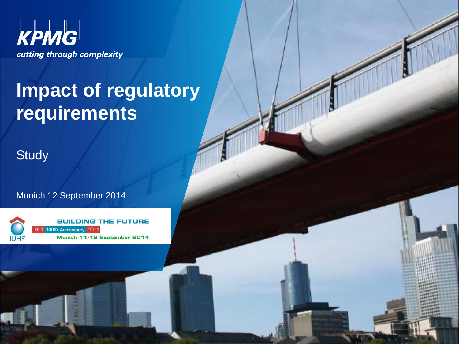

# **Impact of regulatory requirements**

**Study** 

Munich 12 September 2014

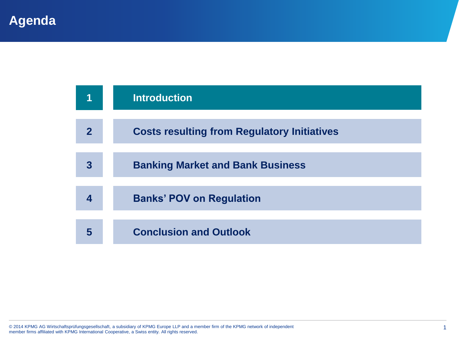|                | <b>Introduction</b>                                |
|----------------|----------------------------------------------------|
| $\overline{2}$ | <b>Costs resulting from Regulatory Initiatives</b> |
| 3              | <b>Banking Market and Bank Business</b>            |
| 4              | <b>Banks' POV on Regulation</b>                    |
| 5              | <b>Conclusion and Outlook</b>                      |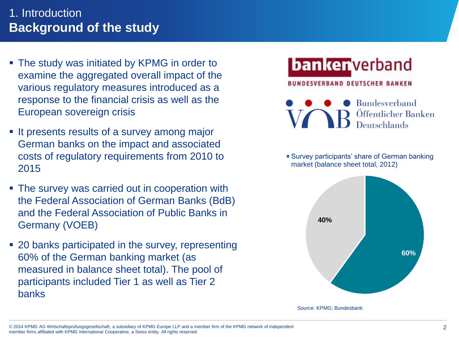#### 1. Introduction **Background of the study**

- The study was initiated by KPMG in order to examine the aggregated overall impact of the various regulatory measures introduced as a response to the financial crisis as well as the European sovereign crisis
- It presents results of a survey among major German banks on the impact and associated costs of regulatory requirements from 2010 to 2015
- The survey was carried out in cooperation with the Federal Association of German Banks (BdB) and the Federal Association of Public Banks in Germany (VOEB)
- 20 banks participated in the survey, representing 60% of the German banking market (as measured in balance sheet total). The pool of participants included Tier 1 as well as Tier 2 banks

## **banker** verband

#### **BUNDESVERBAND DEUTSCHER BANKEN**

**Bundesverband** Öffentlicher Banken Deutschlands

Survey participants' share of German banking market (balance sheet total, 2012)



Source: KPMG; Bundesbank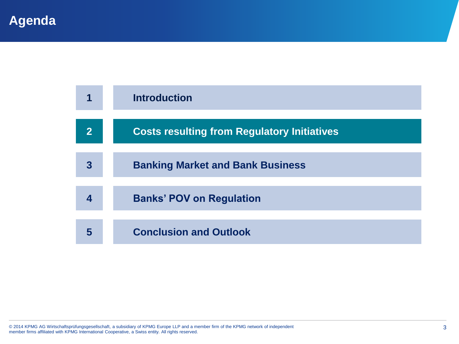|                         | <b>Introduction</b>                                |
|-------------------------|----------------------------------------------------|
| $\overline{\mathbf{2}}$ | <b>Costs resulting from Regulatory Initiatives</b> |
| 3                       | <b>Banking Market and Bank Business</b>            |
|                         | <b>Banks' POV on Regulation</b>                    |
| 5                       | <b>Conclusion and Outlook</b>                      |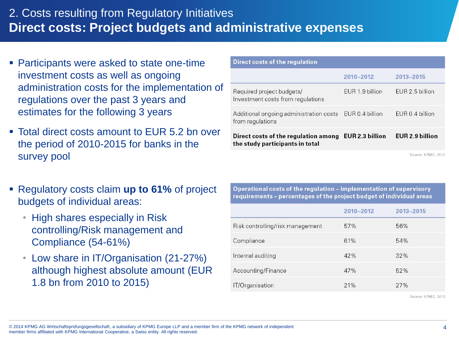#### 2. Costs resulting from Regulatory Initiatives **Direct costs: Project budgets and administrative expenses**

- Participants were asked to state one-time investment costs as well as ongoing administration costs for the implementation of regulations over the past 3 years and estimates for the following 3 years
- Total direct costs amount to EUR 5.2 bn over the period of 2010-2015 for banks in the survey pool
- Regulatory costs claim **up to 61%** of project budgets of individual areas:
	- High shares especially in Risk controlling/Risk management and Compliance (54-61%)
	- Low share in IT/Organisation (21-27%) although highest absolute amount (EUR 1.8 bn from 2010 to 2015)

| Direct costs of the regulation                                              |                 |                        |
|-----------------------------------------------------------------------------|-----------------|------------------------|
|                                                                             | 2010-2012       | 2013-2015              |
| Required project budgets/<br>Investment costs from regulations              | EUR 1.9 billion | FUR 2.5 billion        |
| Additional ongoing administration costs EUR 0.4 billion<br>from regulations |                 | EUR 0.4 billion        |
| Direct costs of the regulation among<br>the study participants in total     | EUR 2.3 billion | <b>EUR 2.9 billion</b> |

Source: KPMG, 2013

| Operational costs of the regulation - implementation of supervisory<br>requirements - percentages of the project budget of individual areas |           |                    |  |
|---------------------------------------------------------------------------------------------------------------------------------------------|-----------|--------------------|--|
|                                                                                                                                             | 2010-2012 | 2013-2015          |  |
| Risk controlling/risk management                                                                                                            | 57%       | 56%                |  |
| Compliance                                                                                                                                  | 61%       | 54%                |  |
| Internal auditing                                                                                                                           | 42%       | 32%                |  |
| Accounting/Finance                                                                                                                          | 47%       | 52%                |  |
| IT/Organisation                                                                                                                             | 21%       | 27%                |  |
|                                                                                                                                             |           | Source: KPMG, 2013 |  |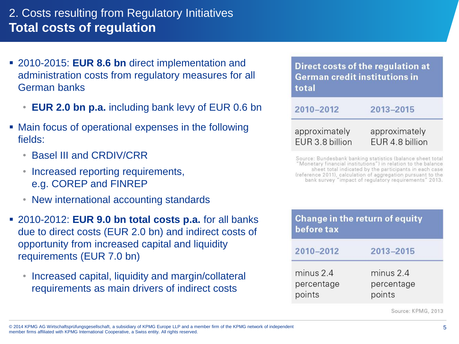#### 2. Costs resulting from Regulatory Initiatives **Total costs of regulation**

- 2010-2015: **EUR 8.6 bn** direct implementation and administration costs from regulatory measures for all German banks
	- **EUR 2.0 bn p.a.** including bank levy of EUR 0.6 bn
- Main focus of operational expenses in the following fields:
	- Basel III and CRDIV/CRR
	- Increased reporting requirements, e.g. COREP and FINREP
	- New international accounting standards
- 2010-2012: **EUR 9.0 bn total costs p.a.** for all banks due to direct costs (EUR 2.0 bn) and indirect costs of opportunity from increased capital and liquidity requirements (EUR 7.0 bn)
	- Increased capital, liquidity and margin/collateral requirements as main drivers of indirect costs

Direct costs of the regulation at **German credit institutions in** total

2010-2012 2013-2015

approximately approximately EUR 3.8 billion EUR 4.8 billion

Source: Bundesbank banking statistics (balance sheet total "Monetary financial institutions") in relation to the balance sheet total indicated by the participants in each case (reference 2011), calculation of aggregation pursuant to the bank survey "impact of requlatory requirements" 2013.

| before tax                        | <b>Change in the return of equity</b> |
|-----------------------------------|---------------------------------------|
| 2010-2012                         | 2013-2015                             |
| minus 2.4<br>percentage<br>points | minus 2.4<br>percentage<br>points     |

Source: KPMG, 2013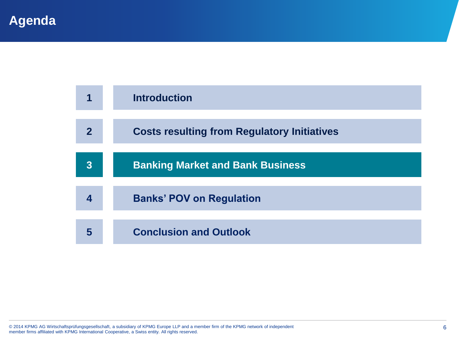|                | <b>Introduction</b>                                |
|----------------|----------------------------------------------------|
| 2              | <b>Costs resulting from Regulatory Initiatives</b> |
| $\overline{3}$ | <b>Banking Market and Bank Business</b>            |
| 4              | <b>Banks' POV on Regulation</b>                    |
| 5              | <b>Conclusion and Outlook</b>                      |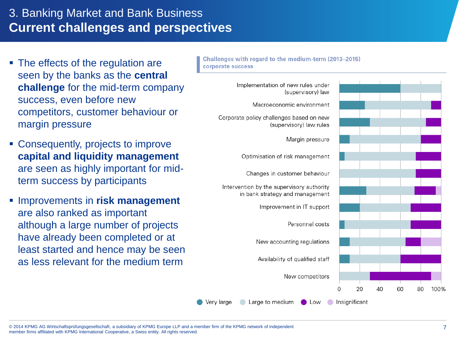#### 3. Banking Market and Bank Business **Current challenges and perspectives**

- The effects of the regulation are seen by the banks as the **central challenge** for the mid-term company success, even before new competitors, customer behaviour or margin pressure
- Consequently, projects to improve **capital and liquidity management**  are seen as highly important for midterm success by participants
- **IMPROVEMENTS in risk management** are also ranked as important although a large number of projects have already been completed or at least started and hence may be seen as less relevant for the medium term

Challenges with regard to the medium-term (2013-2015) corporate success

> Implementation of new rules under (supervisory) law Macroeconomic environment Corporate policy challenges based on new (supervisory) law rules Margin pressure Optimisation of risk management Changes in customer behaviour Intervention by the supervisory authority in bank strategy and management Improvement in IT support Personnel costs New accounting regulations Availability of qualified staff

> > New competitors



Very large

Large to medium

 $\Omega$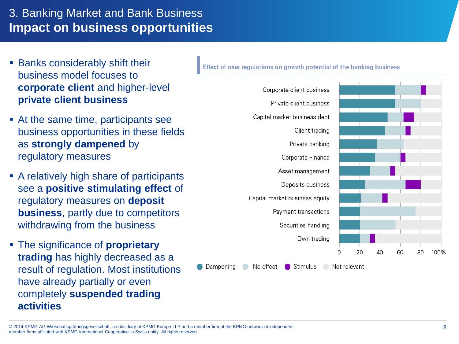#### 3. Banking Market and Bank Business **Impact on business opportunities**

- **Banks considerably shift their** business model focuses to **corporate client** and higher-level **private client business**
- At the same time, participants see business opportunities in these fields as **strongly dampened** by regulatory measures
- A relatively high share of participants see a **positive stimulating effect** of regulatory measures on **deposit business**, partly due to competitors withdrawing from the business
- The significance of **proprietary trading** has highly decreased as a result of regulation. Most institutions have already partially or even completely **suspended trading activities**

Effect of new regulations on growth potential of the banking business

Corporate client business Private client business Capital market business debt Client trading Private banking Corporate Finance Asset management Deposits business Capital market business equity Payment transactions Securities handling Own trading  $\cap$ 20  $40$ 

Dampening No effect Stimulus ◯ Not relevant 60

80

100%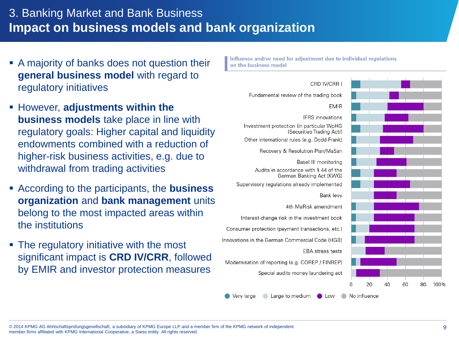#### 3. Banking Market and Bank Business **Impact on business models and bank organization**

- A majority of banks does not question their **general business model** with regard to regulatory initiatives
- **Example 3 However, adjustments within the business models** take place in line with regulatory goals: Higher capital and liquidity endowments combined with a reduction of higher-risk business activities, e.g. due to withdrawal from trading activities
- According to the participants, the **business organization** and **bank management** units belong to the most impacted areas within the institutions
- The regulatory initiative with the most significant impact is **CRD IV/CRR**, followed by EMIR and investor protection measures

Influence and/or need for adjustment due to individual regulations on the business model



© 2014 KPMG AG Wirtschaftsprüfungsgesellschaft, a subsidiary of KPMG Europe LLP and a member firm of the KPMG network of independent member firms affiliated with KPMG International Cooperative, a Swiss entity. All rights reserved.

Very large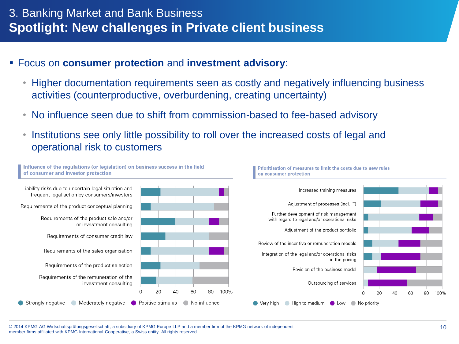- Focus on **consumer protection** and **investment advisory**:
	- Higher documentation requirements seen as costly and negatively influencing business activities (counterproductive, overburdening, creating uncertainty)
	- No influence seen due to shift from commission-based to fee-based advisory
	- Institutions see only little possibility to roll over the increased costs of legal and operational risk to customers

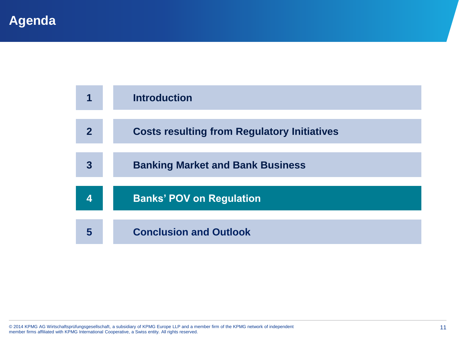| 1                       | <b>Introduction</b>                                |
|-------------------------|----------------------------------------------------|
|                         |                                                    |
| $\overline{\mathbf{2}}$ | <b>Costs resulting from Regulatory Initiatives</b> |
|                         |                                                    |
| 3                       | <b>Banking Market and Bank Business</b>            |
|                         |                                                    |
| Δ                       | <b>Banks' POV on Regulation</b>                    |
|                         |                                                    |
| 5                       | <b>Conclusion and Outlook</b>                      |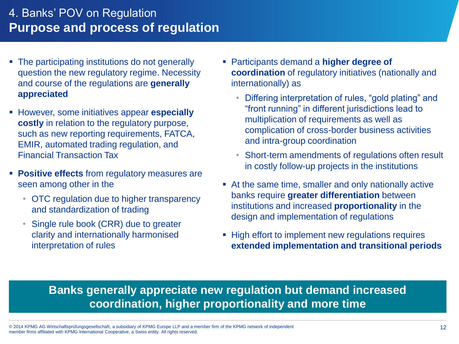#### 4. Banks' POV on Regulation **Purpose and process of regulation**

- The participating institutions do not generally question the new regulatory regime. Necessity and course of the regulations are **generally appreciated**
- However, some initiatives appear **especially costly** in relation to the regulatory purpose, such as new reporting requirements, FATCA, EMIR, automated trading regulation, and Financial Transaction Tax
- **Positive effects** from regulatory measures are seen among other in the
	- OTC regulation due to higher transparency and standardization of trading
	- Single rule book (CRR) due to greater clarity and internationally harmonised interpretation of rules
- Participants demand a **higher degree of coordination** of regulatory initiatives (nationally and internationally) as
	- Differing interpretation of rules, "gold plating" and "front running" in different jurisdictions lead to multiplication of requirements as well as complication of cross-border business activities and intra-group coordination
	- Short-term amendments of regulations often result in costly follow-up projects in the institutions
- At the same time, smaller and only nationally active banks require **greater differentiation** between institutions and increased **proportionality** in the design and implementation of regulations
- **High effort to implement new regulations requires extended implementation and transitional periods**

#### **Banks generally appreciate new regulation but demand increased coordination, higher proportionality and more time**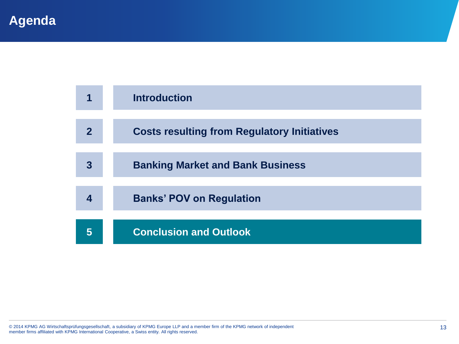|             | <b>Introduction</b>                                |
|-------------|----------------------------------------------------|
|             |                                                    |
| $\mathbf 2$ | <b>Costs resulting from Regulatory Initiatives</b> |
|             |                                                    |
| 3           | <b>Banking Market and Bank Business</b>            |
|             |                                                    |
| 4           | <b>Banks' POV on Regulation</b>                    |
|             |                                                    |
| 5           | <b>Conclusion and Outlook</b>                      |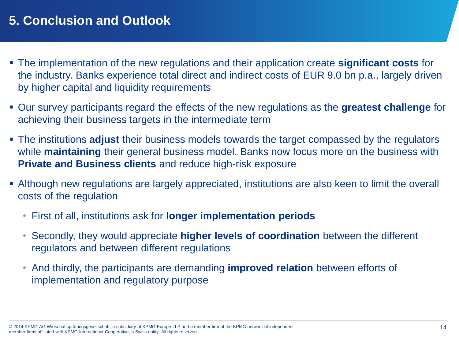### **5. Conclusion and Outlook**

- The implementation of the new regulations and their application create **significant costs** for the industry. Banks experience total direct and indirect costs of EUR 9.0 bn p.a., largely driven by higher capital and liquidity requirements
- Our survey participants regard the effects of the new regulations as the **greatest challenge** for achieving their business targets in the intermediate term
- The institutions **adjust** their business models towards the target compassed by the regulators while **maintaining** their general business model. Banks now focus more on the business with **Private and Business clients** and reduce high-risk exposure
- Although new regulations are largely appreciated, institutions are also keen to limit the overall costs of the regulation
	- First of all, institutions ask for **longer implementation periods**
	- Secondly, they would appreciate **higher levels of coordination** between the different regulators and between different regulations
	- And thirdly, the participants are demanding **improved relation** between efforts of implementation and regulatory purpose